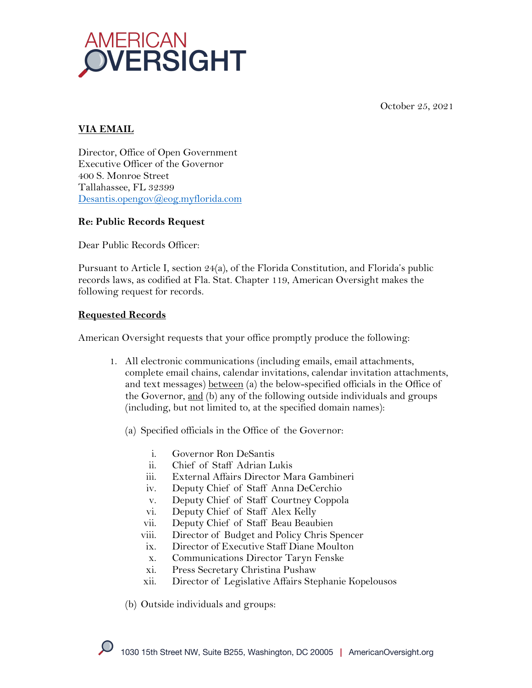



## **VIA EMAIL**

Director, Office of Open Government Executive Officer of the Governor 400 S. Monroe Street Tallahassee, FL 32399 Desantis.opengov@eog.myflorida.com

## **Re: Public Records Request**

Dear Public Records Officer:

Pursuant to Article I, section 24(a), of the Florida Constitution, and Florida's public records laws, as codified at Fla. Stat. Chapter 119, American Oversight makes the following request for records.

## **Requested Records**

American Oversight requests that your office promptly produce the following:

- 1. All electronic communications (including emails, email attachments, complete email chains, calendar invitations, calendar invitation attachments, and text messages) between (a) the below-specified officials in the Office of the Governor, and (b) any of the following outside individuals and groups (including, but not limited to, at the specified domain names):
	- (a) Specified officials in the Office of the Governor:
		- i. Governor Ron DeSantis
		- ii. Chief of Staff Adrian Lukis
		- iii. External Affairs Director Mara Gambineri
		- iv. Deputy Chief of Staff Anna DeCerchio
		- v. Deputy Chief of Staff Courtney Coppola
		- vi. Deputy Chief of Staff Alex Kelly
		- vii. Deputy Chief of Staff Beau Beaubien
		- viii. Director of Budget and Policy Chris Spencer
		- ix. Director of Executive Staff Diane Moulton
		- x. Communications Director Taryn Fenske
		- xi. Press Secretary Christina Pushaw
		- xii. Director of Legislative Affairs Stephanie Kopelousos

(b) Outside individuals and groups: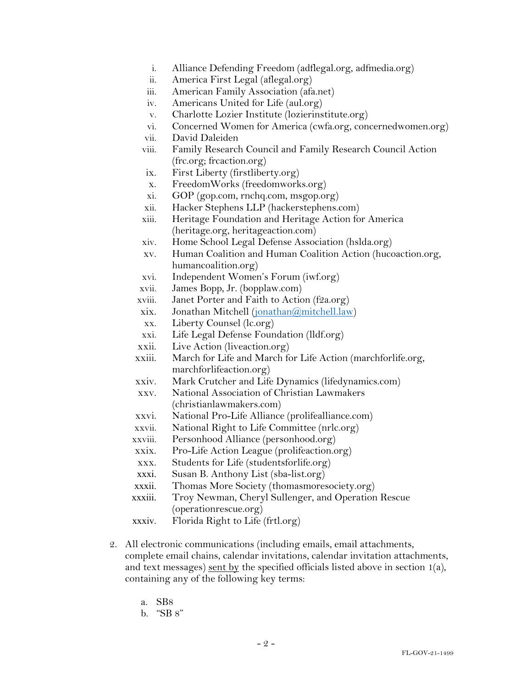- i. Alliance Defending Freedom (adflegal.org, adfmedia.org)
- ii. America First Legal (aflegal.org)
- iii. American Family Association (afa.net)
- iv. Americans United for Life (aul.org)
- v. Charlotte Lozier Institute (lozierinstitute.org)
- vi. Concerned Women for America (cwfa.org, concernedwomen.org)
- vii. David Daleiden
- viii. Family Research Council and Family Research Council Action (frc.org; frcaction.org)
- ix. First Liberty (firstliberty.org)
- x. FreedomWorks (freedomworks.org)
- xi. GOP (gop.com, rnchq.com, msgop.org)
- xii. Hacker Stephens LLP (hackerstephens.com)
- xiii. Heritage Foundation and Heritage Action for America (heritage.org, heritageaction.com)
- xiv. Home School Legal Defense Association (hslda.org)
- xv. Human Coalition and Human Coalition Action (hucoaction.org, humancoalition.org)
- xvi. Independent Women's Forum (iwf.org)
- xvii. James Bopp, Jr. (bopplaw.com)
- xviii. Janet Porter and Faith to Action (f2a.org)
- xix. Jonathan Mitchell (jonathan@mitchell.law)
- xx. Liberty Counsel (lc.org)
- xxi. Life Legal Defense Foundation (lldf.org)
- xxii. Live Action (liveaction.org)
- xxiii. March for Life and March for Life Action (marchforlife.org, marchforlifeaction.org)
- xxiv. Mark Crutcher and Life Dynamics (lifedynamics.com)
- xxv. National Association of Christian Lawmakers (christianlawmakers.com)
- xxvi. National Pro-Life Alliance (prolifealliance.com)
- xxvii. National Right to Life Committee (nrlc.org)
- xxviii. Personhood Alliance (personhood.org)
- xxix. Pro-Life Action League (prolifeaction.org)
- xxx. Students for Life (studentsforlife.org)
- xxxi. Susan B. Anthony List (sba-list.org)
- xxxii. Thomas More Society (thomasmoresociety.org)
- xxxiii. Troy Newman, Cheryl Sullenger, and Operation Rescue (operationrescue.org)
- xxxiv. Florida Right to Life (frtl.org)
- 2. All electronic communications (including emails, email attachments, complete email chains, calendar invitations, calendar invitation attachments, and text messages) sent by the specified officials listed above in section 1(a), containing any of the following key terms:
	- a. SB8
	- b. "SB 8"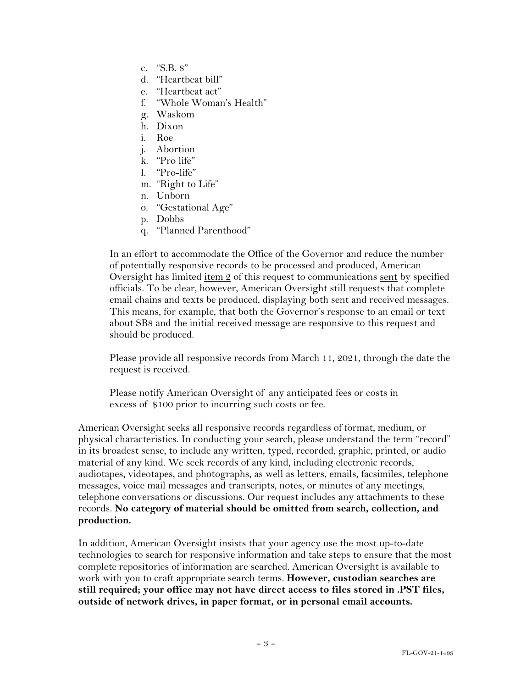- c. "S.B. 8"
- d. "Heartbeat bill"
- e. "Heartbeat act"
- f. "Whole Woman's Health"
- g. Waskom
- h. Dixon
- i. Roe
- j. Abortion
- k. "Pro life"
- l. "Pro-life"
- m. "Right to Life"
- n. Unborn
- o. "Gestational Age"
- p. Dobbs
- q. "Planned Parenthood"

In an effort to accommodate the Office of the Governor and reduce the number of potentially responsive records to be processed and produced, American Oversight has limited  $\underline{\text{item 2}}$  of this request to communications sent by specified officials. To be clear, however, American Oversight still requests that complete email chains and texts be produced, displaying both sent and received messages. This means, for example, that both the Governor's response to an email or text about SB8 and the initial received message are responsive to this request and should be produced.

Please provide all responsive records from March 11, 2021, through the date the request is received.

Please notify American Oversight of any anticipated fees or costs in excess of \$100 prior to incurring such costs or fee.

American Oversight seeks all responsive records regardless of format, medium, or physical characteristics. In conducting your search, please understand the term "record" in its broadest sense, to include any written, typed, recorded, graphic, printed, or audio material of any kind. We seek records of any kind, including electronic records, audiotapes, videotapes, and photographs, as well as letters, emails, facsimiles, telephone messages, voice mail messages and transcripts, notes, or minutes of any meetings, telephone conversations or discussions. Our request includes any attachments to these records. **No category of material should be omitted from search, collection, and production.**

In addition, American Oversight insists that your agency use the most up-to-date technologies to search for responsive information and take steps to ensure that the most complete repositories of information are searched. American Oversight is available to work with you to craft appropriate search terms. **However, custodian searches are still required; your office may not have direct access to files stored in .PST files, outside of network drives, in paper format, or in personal email accounts.**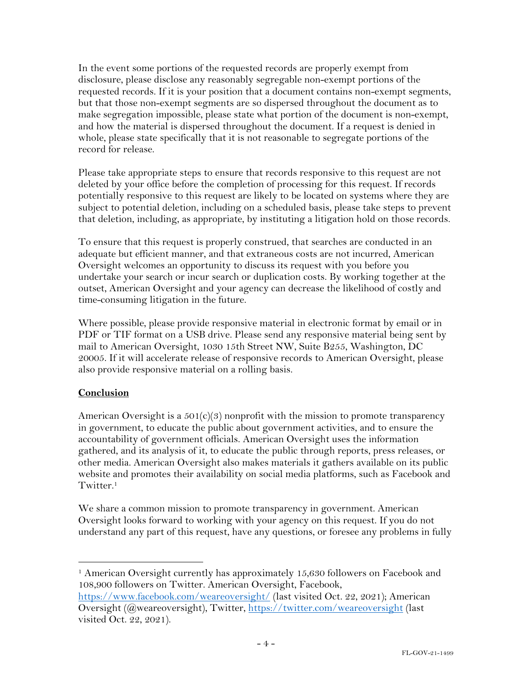In the event some portions of the requested records are properly exempt from disclosure, please disclose any reasonably segregable non-exempt portions of the requested records. If it is your position that a document contains non-exempt segments, but that those non-exempt segments are so dispersed throughout the document as to make segregation impossible, please state what portion of the document is non-exempt, and how the material is dispersed throughout the document. If a request is denied in whole, please state specifically that it is not reasonable to segregate portions of the record for release.

Please take appropriate steps to ensure that records responsive to this request are not deleted by your office before the completion of processing for this request. If records potentially responsive to this request are likely to be located on systems where they are subject to potential deletion, including on a scheduled basis, please take steps to prevent that deletion, including, as appropriate, by instituting a litigation hold on those records.

To ensure that this request is properly construed, that searches are conducted in an adequate but efficient manner, and that extraneous costs are not incurred, American Oversight welcomes an opportunity to discuss its request with you before you undertake your search or incur search or duplication costs. By working together at the outset, American Oversight and your agency can decrease the likelihood of costly and time-consuming litigation in the future.

Where possible, please provide responsive material in electronic format by email or in PDF or TIF format on a USB drive. Please send any responsive material being sent by mail to American Oversight, 1030 15th Street NW, Suite B255, Washington, DC 20005. If it will accelerate release of responsive records to American Oversight, please also provide responsive material on a rolling basis.

## **Conclusion**

American Oversight is a  $501(c)(3)$  nonprofit with the mission to promote transparency in government, to educate the public about government activities, and to ensure the accountability of government officials. American Oversight uses the information gathered, and its analysis of it, to educate the public through reports, press releases, or other media. American Oversight also makes materials it gathers available on its public website and promotes their availability on social media platforms, such as Facebook and Twitter.<sup>1</sup>

We share a common mission to promote transparency in government. American Oversight looks forward to working with your agency on this request. If you do not understand any part of this request, have any questions, or foresee any problems in fully

<sup>&</sup>lt;sup>1</sup> American Oversight currently has approximately 15,630 followers on Facebook and 108,900 followers on Twitter. American Oversight, Facebook,

https://www.facebook.com/weareoversight/ (last visited Oct. 22, 2021); American Oversight (@weareoversight), Twitter, https://twitter.com/weareoversight (last visited Oct. 22, 2021).